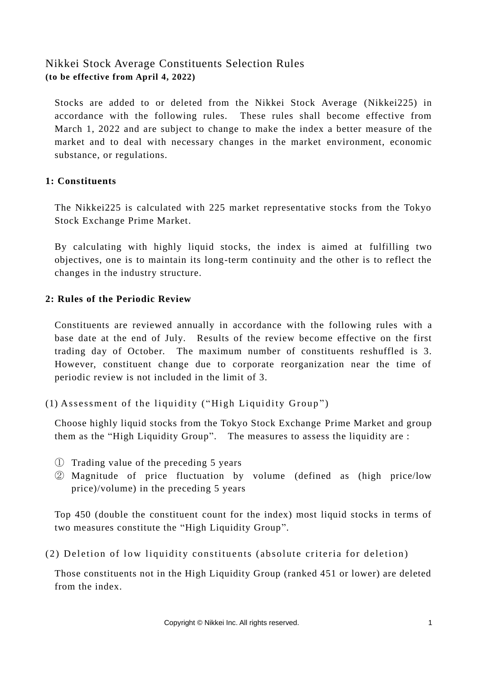# Nikkei Stock Average Constituents Selection Rules **(to be effective from April 4, 2022)**

Stocks are added to or deleted from the Nikkei Stock Average (Nikkei225) in accordance with the following rules. These rules shall become effective from March 1, 2022 and are subject to change to make the index a better measure of the market and to deal with necessary changes in the market environment, economic substance, or regulations.

#### **1: Constituents**

The Nikkei225 is calculated with 225 market representative stocks from the Tokyo Stock Exchange Prime Market.

By calculating with highly liquid stocks, the index is aimed at fulfilling two objectives, one is to maintain its long-term continuity and the other is to reflect the changes in the industry structure.

### **2: Rules of the Periodic Review**

Constituents are reviewed annually in accordance with the following rules with a base date at the end of July. Results of the review become effective on the first trading day of October. The maximum number of constituents reshuffled is 3. However, constituent change due to corporate reorganization near the time of periodic review is not included in the limit of 3.

 $(1)$  Assessment of the liquidity ("High Liquidity Group")

Choose highly liquid stocks from the Tokyo Stock Exchange Prime Market and group them as the "High Liquidity Group". The measures to assess the liquidity are :

- ① Trading value of the preceding 5 years
- ② Magnitude of price fluctuation by volume (defined as (high price/low price)/volume) in the preceding 5 years

Top 450 (double the constituent count for the index) most liquid stocks in terms of two measures constitute the "High Liquidity Group".

(2) Deletion of low liquidity constituents (absolute criteria for deletion)

Those constituents not in the High Liquidity Group (ranked 451 or lower) are deleted from the index.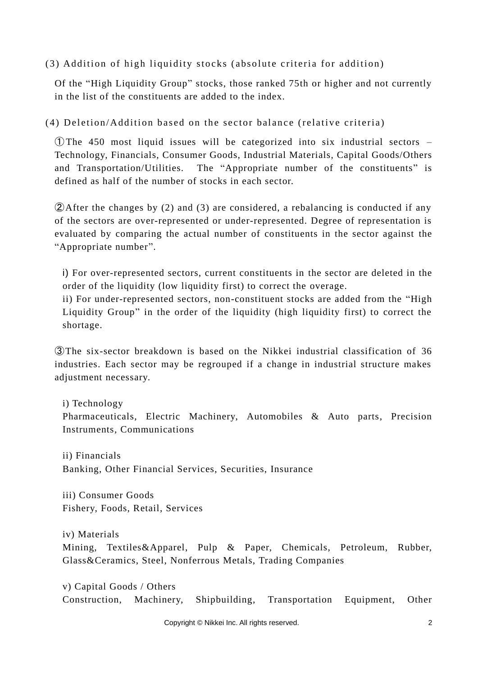$(3)$  Addition of high liquidity stocks (absolute criteria for addition)

Of the "High Liquidity Group" stocks, those ranked 75th or higher and not currently in the list of the constituents are added to the index.

(4) Deletion/Addition based on the sector balance (relative criteria)

① The 450 most liquid issues will be categorized into six industrial sectors – Technology, Financials, Consumer Goods, Industrial Materials, Capital Goods/Others and Transportation/Utilities. The "Appropriate number of the constituents" is defined as half of the number of stocks in each sector.

②After the changes by (2) and (3) are considered, a rebalancing is conducted if any of the sectors are over-represented or under-represented. Degree of representation is evaluated by comparing the actual number of constituents in the sector against the "Appropriate number".

i) For over-represented sectors, current constituents in the sector are deleted in the order of the liquidity (low liquidity first) to correct the overage.

ii) For under-represented sectors, non-constituent stocks are added from the "High Liquidity Group" in the order of the liquidity (high liquidity first) to correct the shortage.

③The six-sector breakdown is based on the Nikkei industrial classification of 36 industries. Each sector may be regrouped if a change in industrial structure makes adjustment necessary.

i) Technology Pharmaceuticals, Electric Machinery, Automobiles & Auto parts, Precision Instruments, Communications

ii) Financials Banking, Other Financial Services, Securities, Insurance

iii) Consumer Goods Fishery, Foods, Retail, Services

iv) Materials Mining, Textiles&Apparel, Pulp & Paper, Chemicals, Petroleum, Rubber, Glass&Ceramics, Steel, Nonferrous Metals, Trading Companies

v) Capital Goods / Others Construction, Machinery, Shipbuilding, Transportation Equipment, Other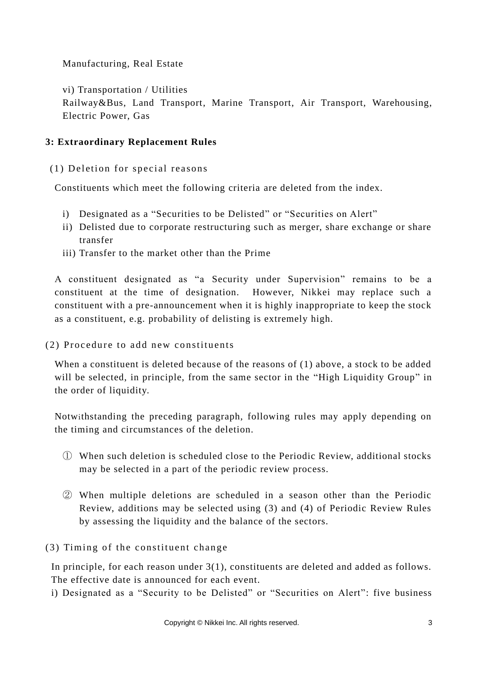### Manufacturing, Real Estate

vi) Transportation / Utilities

Railway&Bus, Land Transport, Marine Transport, Air Transport, Warehousing, Electric Power, Gas

### **3: Extraordinary Replacement Rules**

 $(1)$  Deletion for special reasons

Constituents which meet the following criteria are deleted from the index.

- i) Designated as a "Securities to be Delisted" or "Securities on Alert"
- ii) Delisted due to corporate restructuring such as merger, share exchange or share transfer
- iii) Transfer to the market other than the Prime

A constituent designated as "a Security under Supervision" remains to be a constituent at the time of designation. However, Nikkei may replace such a constituent with a pre-announcement when it is highly inappropriate to keep the stock as a constituent, e.g. probability of delisting is extremely high.

 $(2)$  Procedure to add new constituents

When a constituent is deleted because of the reasons of (1) above, a stock to be added will be selected, in principle, from the same sector in the "High Liquidity Group" in the order of liquidity.

Notwithstanding the preceding paragraph, following rules may apply depending on the timing and circumstances of the deletion.

- ① When such deletion is scheduled close to the Periodic Review, additional stocks may be selected in a part of the periodic review process.
- ② When multiple deletions are scheduled in a season other than the Periodic Review, additions may be selected using (3) and (4) of Periodic Review Rules by assessing the liquidity and the balance of the sectors.

 $(3)$  Timing of the constituent change

In principle, for each reason under 3(1), constituents are deleted and added as follows. The effective date is announced for each event.

i) Designated as a "Security to be Delisted" or "Securities on Alert": five business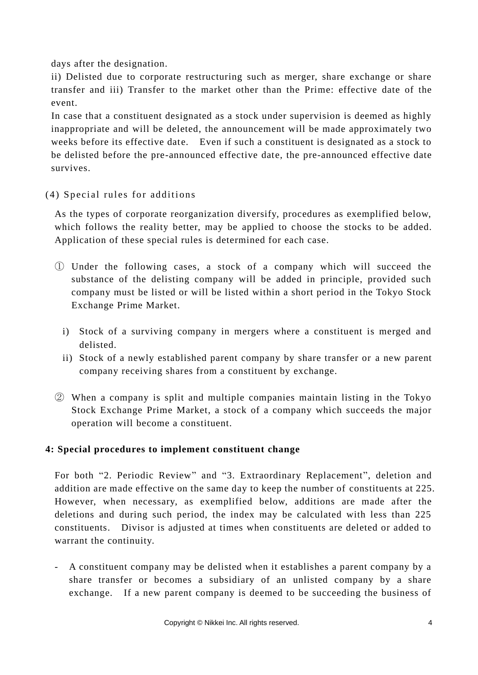days after the designation.

ii) Delisted due to corporate restructuring such as merger, share exchange or share transfer and iii) Transfer to the market other than the Prime: effective date of the event.

In case that a constituent designated as a stock under supervision is deemed as highly inappropriate and will be deleted, the announcement will be made approximately two weeks before its effective date. Even if such a constituent is designated as a stock to be delisted before the pre-announced effective date, the pre-announced effective date survives.

 $(4)$  Special rules for additions

As the types of corporate reorganization diversify, procedures as exemplified below, which follows the reality better, may be applied to choose the stocks to be added. Application of these special rules is determined for each case.

- ① Under the following cases, a stock of a company which will succeed the substance of the delisting company will be added in principle, provided such company must be listed or will be listed within a short period in the Tokyo Stock Exchange Prime Market.
	- i) Stock of a surviving company in mergers where a constituent is merged and delisted.
	- ii) Stock of a newly established parent company by share transfer or a new parent company receiving shares from a constituent by exchange.
- ② When a company is split and multiple companies maintain listing in the Tokyo Stock Exchange Prime Market, a stock of a company which succeeds the major operation will become a constituent.

## **4: Special procedures to implement constituent change**

For both "2. Periodic Review" and "3. Extraordinary Replacement", deletion and addition are made effective on the same day to keep the number of constituents at 225. However, when necessary, as exemplified below, additions are made after the deletions and during such period, the index may be calculated with less than 225 constituents. Divisor is adjusted at times when constituents are deleted or added to warrant the continuity.

- A constituent company may be delisted when it establishes a parent company by a share transfer or becomes a subsidiary of an unlisted company by a share exchange. If a new parent company is deemed to be succeeding the business of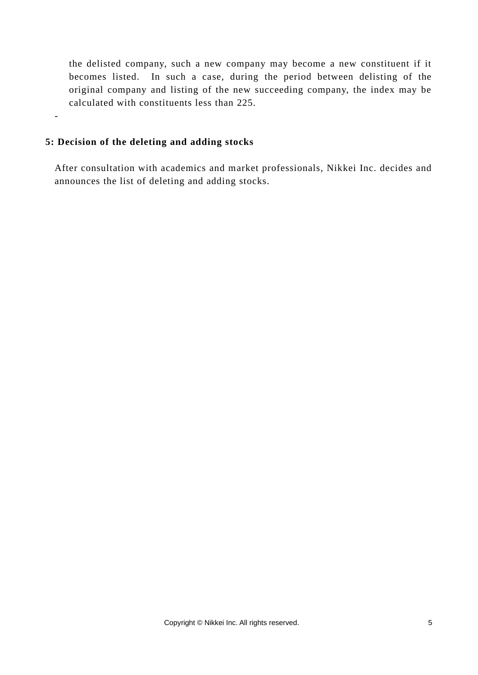the delisted company, such a new company may become a new constituent if it becomes listed. In such a case, during the period between delisting of the original company and listing of the new succeeding company, the index may be calculated with constituents less than 225.

#### **5: Decision of the deleting and adding stocks**

-

After consultation with academics and market professionals, Nikkei Inc. decides and announces the list of deleting and adding stocks.